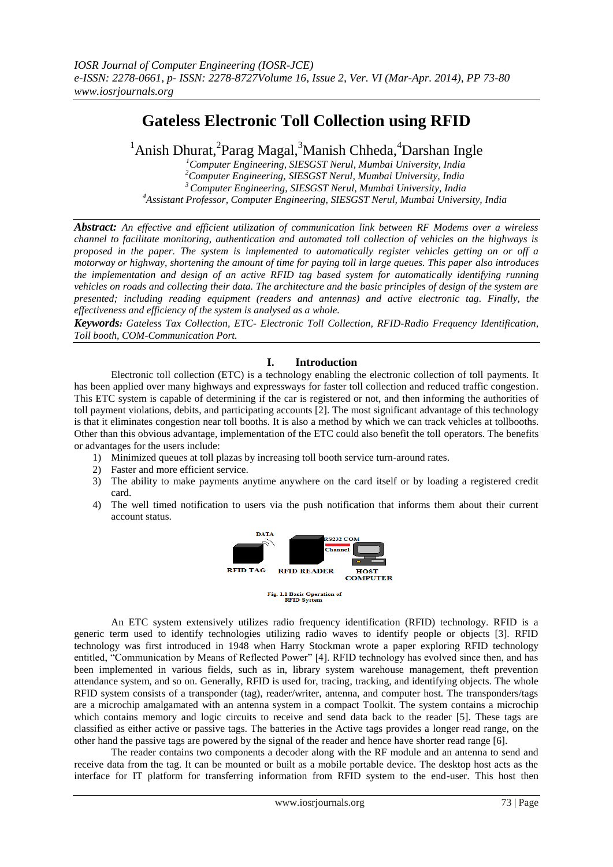# **Gateless Electronic Toll Collection using RFID**

<sup>1</sup>Anish Dhurat,<sup>2</sup>Parag Magal,<sup>3</sup>Manish Chheda,<sup>4</sup>Darshan Ingle

*Computer Engineering, SIESGST Nerul, Mumbai University, India Computer Engineering, SIESGST Nerul, Mumbai University, India Computer Engineering, SIESGST Nerul, Mumbai University, India Assistant Professor, Computer Engineering, SIESGST Nerul, Mumbai University, India*

*Abstract: An effective and efficient utilization of communication link between RF Modems over a wireless channel to facilitate monitoring, authentication and automated toll collection of vehicles on the highways is proposed in the paper. The system is implemented to automatically register vehicles getting on or off a motorway or highway, shortening the amount of time for paying toll in large queues. This paper also introduces the implementation and design of an active RFID tag based system for automatically identifying running vehicles on roads and collecting their data. The architecture and the basic principles of design of the system are presented; including reading equipment (readers and antennas) and active electronic tag. Finally, the effectiveness and efficiency of the system is analysed as a whole.*

*Keywords: Gateless Tax Collection, ETC- Electronic Toll Collection, RFID-Radio Frequency Identification, Toll booth, COM-Communication Port.*

## **I. Introduction**

Electronic toll collection (ETC) is a technology enabling the electronic collection of toll payments. It has been applied over many highways and expressways for faster toll collection and reduced traffic congestion. This ETC system is capable of determining if the car is registered or not, and then informing the authorities of toll payment violations, debits, and participating accounts [2]. The most significant advantage of this technology is that it eliminates congestion near toll booths. It is also a method by which we can track vehicles at tollbooths. Other than this obvious advantage, implementation of the ETC could also benefit the toll operators. The benefits or advantages for the users include:

- 1) Minimized queues at toll plazas by increasing toll booth service turn-around rates.
- 2) Faster and more efficient service.
- 3) The ability to make payments anytime anywhere on the card itself or by loading a registered credit card.
- 4) The well timed notification to users via the push notification that informs them about their current account status.



An ETC system extensively utilizes radio frequency identification (RFID) technology. RFID is a generic term used to identify technologies utilizing radio waves to identify people or objects [3]. RFID technology was first introduced in 1948 when Harry Stockman wrote a paper exploring RFID technology entitled, "Communication by Means of Reflected Power" [4]. RFID technology has evolved since then, and has been implemented in various fields, such as in, library system warehouse management, theft prevention attendance system, and so on. Generally, RFID is used for, tracing, tracking, and identifying objects. The whole RFID system consists of a transponder (tag), reader/writer, antenna, and computer host. The transponders/tags are a microchip amalgamated with an antenna system in a compact Toolkit. The system contains a microchip which contains memory and logic circuits to receive and send data back to the reader [5]. These tags are classified as either active or passive tags. The batteries in the Active tags provides a longer read range, on the other hand the passive tags are powered by the signal of the reader and hence have shorter read range [6].

The reader contains two components a decoder along with the RF module and an antenna to send and receive data from the tag. It can be mounted or built as a mobile portable device. The desktop host acts as the interface for IT platform for transferring information from RFID system to the end-user. This host then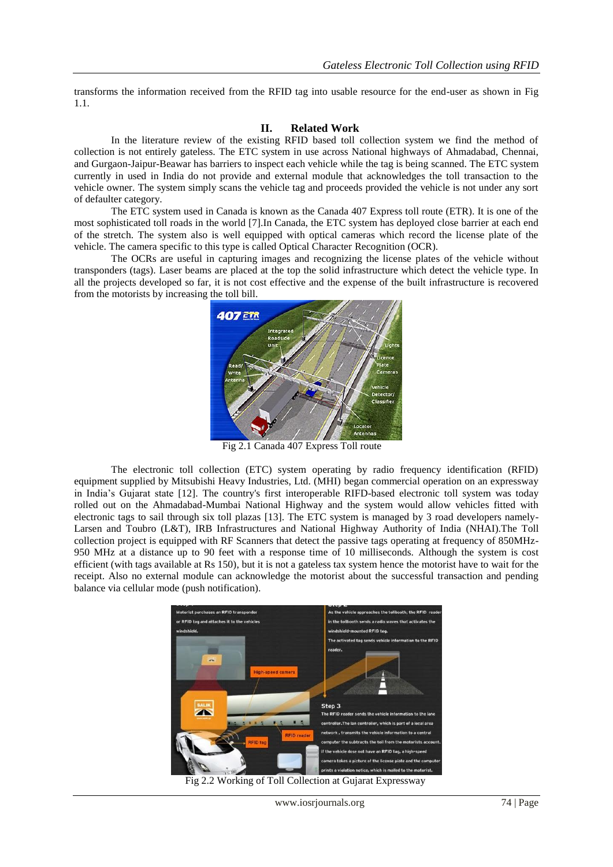transforms the information received from the RFID tag into usable resource for the end-user as shown in Fig 1.1.

## **II. Related Work**

In the literature review of the existing RFID based toll collection system we find the method of collection is not entirely gateless. The ETC system in use across National highways of Ahmadabad, Chennai, and Gurgaon-Jaipur-Beawar has barriers to inspect each vehicle while the tag is being scanned. The ETC system currently in used in India do not provide and external module that acknowledges the toll transaction to the vehicle owner. The system simply scans the vehicle tag and proceeds provided the vehicle is not under any sort of defaulter category.

The ETC system used in Canada is known as the Canada 407 Express toll route (ETR). It is one of the most sophisticated toll roads in the world [7].In Canada, the ETC system has deployed close barrier at each end of the stretch. The system also is well equipped with optical cameras which record the license plate of the vehicle. The camera specific to this type is called Optical Character Recognition (OCR).

The OCRs are useful in capturing images and recognizing the license plates of the vehicle without transponders (tags). Laser beams are placed at the top the solid infrastructure which detect the vehicle type. In all the projects developed so far, it is not cost effective and the expense of the built infrastructure is recovered from the motorists by increasing the toll bill.



Fig 2.1 Canada 407 Express Toll route

The electronic toll collection (ETC) system operating by radio frequency identification (RFID) equipment supplied by Mitsubishi Heavy Industries, Ltd. (MHI) began commercial operation on an expressway in India"s Gujarat state [12]. The country's first interoperable RIFD-based electronic toll system was today rolled out on the Ahmadabad-Mumbai National Highway and the system would allow vehicles fitted with electronic tags to sail through six toll plazas [13]. The ETC system is managed by 3 road developers namely-Larsen and Toubro (L&T), IRB Infrastructures and National Highway Authority of India (NHAI).The Toll collection project is equipped with RF Scanners that detect the passive tags operating at frequency of 850MHz-950 MHz at a distance up to 90 feet with a response time of 10 milliseconds. Although the system is cost efficient (with tags available at Rs 150), but it is not a gateless tax system hence the motorist have to wait for the receipt. Also no external module can acknowledge the motorist about the successful transaction and pending balance via cellular mode (push notification).



Fig 2.2 Working of Toll Collection at Gujarat Expressway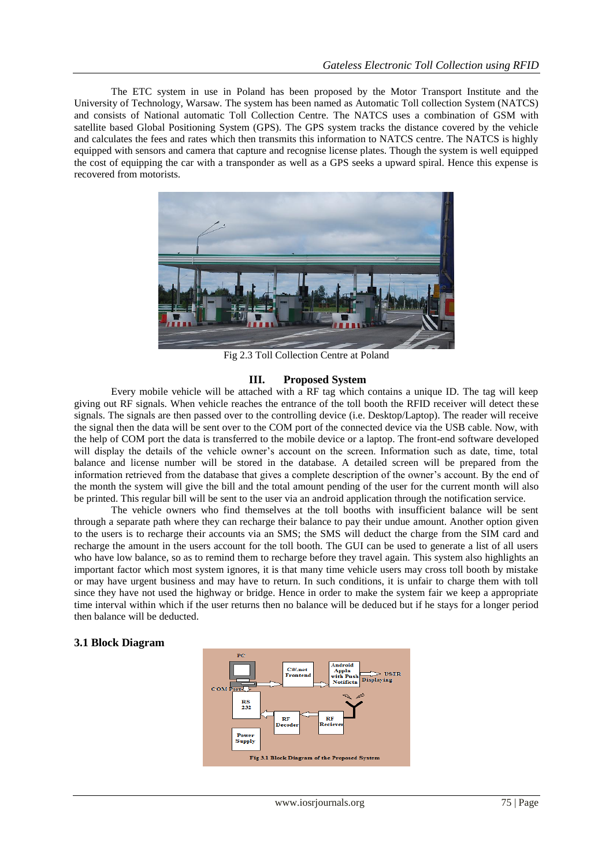The ETC system in use in Poland has been proposed by the Motor Transport Institute and the University of Technology, Warsaw. The system has been named as Automatic Toll collection System (NATCS) and consists of National automatic Toll Collection Centre. The NATCS uses a combination of GSM with satellite based Global Positioning System (GPS). The GPS system tracks the distance covered by the vehicle and calculates the fees and rates which then transmits this information to NATCS centre. The NATCS is highly equipped with sensors and camera that capture and recognise license plates. Though the system is well equipped the cost of equipping the car with a transponder as well as a GPS seeks a upward spiral. Hence this expense is recovered from motorists.



Fig 2.3 Toll Collection Centre at Poland

## **III. Proposed System**

Every mobile vehicle will be attached with a RF tag which contains a unique ID. The tag will keep giving out RF signals. When vehicle reaches the entrance of the toll booth the RFID receiver will detect these signals. The signals are then passed over to the controlling device (i.e. Desktop/Laptop). The reader will receive the signal then the data will be sent over to the COM port of the connected device via the USB cable. Now, with the help of COM port the data is transferred to the mobile device or a laptop. The front-end software developed will display the details of the vehicle owner's account on the screen. Information such as date, time, total balance and license number will be stored in the database. A detailed screen will be prepared from the information retrieved from the database that gives a complete description of the owner"s account. By the end of the month the system will give the bill and the total amount pending of the user for the current month will also be printed. This regular bill will be sent to the user via an android application through the notification service.

The vehicle owners who find themselves at the toll booths with insufficient balance will be sent through a separate path where they can recharge their balance to pay their undue amount. Another option given to the users is to recharge their accounts via an SMS; the SMS will deduct the charge from the SIM card and recharge the amount in the users account for the toll booth. The GUI can be used to generate a list of all users who have low balance, so as to remind them to recharge before they travel again. This system also highlights an important factor which most system ignores, it is that many time vehicle users may cross toll booth by mistake or may have urgent business and may have to return. In such conditions, it is unfair to charge them with toll since they have not used the highway or bridge. Hence in order to make the system fair we keep a appropriate time interval within which if the user returns then no balance will be deduced but if he stays for a longer period then balance will be deducted.

#### **3.1 Block Diagram**

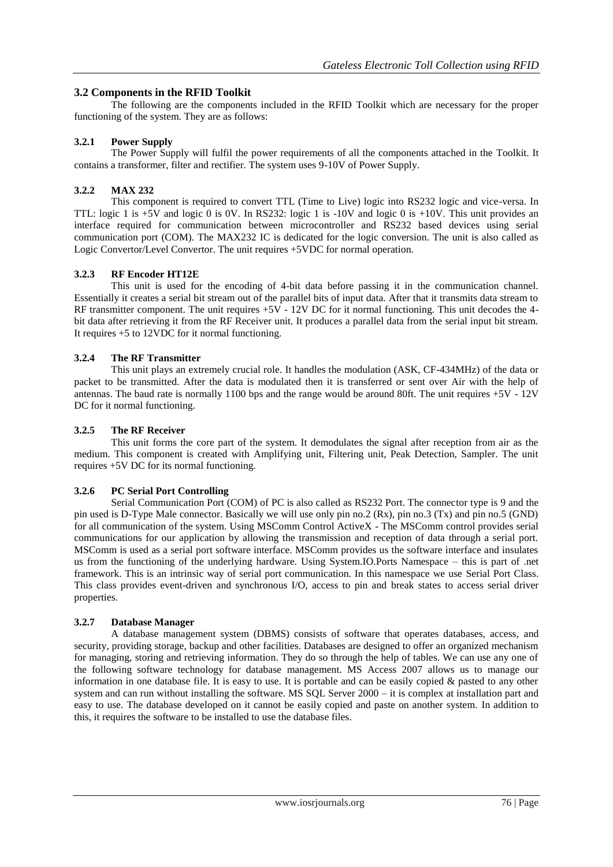## **3.2 Components in the RFID Toolkit**

The following are the components included in the RFID Toolkit which are necessary for the proper functioning of the system. They are as follows:

## **3.2.1 Power Supply**

The Power Supply will fulfil the power requirements of all the components attached in the Toolkit. It contains a transformer, filter and rectifier. The system uses 9-10V of Power Supply.

## **3.2.2 MAX 232**

This component is required to convert TTL (Time to Live) logic into RS232 logic and vice-versa. In TTL: logic 1 is +5V and logic 0 is 0V. In RS232: logic 1 is -10V and logic 0 is +10V. This unit provides an interface required for communication between microcontroller and RS232 based devices using serial communication port (COM). The MAX232 IC is dedicated for the logic conversion. The unit is also called as Logic Convertor/Level Convertor. The unit requires +5VDC for normal operation.

## **3.2.3 RF Encoder HT12E**

This unit is used for the encoding of 4-bit data before passing it in the communication channel. Essentially it creates a serial bit stream out of the parallel bits of input data. After that it transmits data stream to RF transmitter component. The unit requires  $+5V - 12V$  DC for it normal functioning. This unit decodes the 4bit data after retrieving it from the RF Receiver unit. It produces a parallel data from the serial input bit stream. It requires +5 to 12VDC for it normal functioning.

## **3.2.4 The RF Transmitter**

This unit plays an extremely crucial role. It handles the modulation (ASK, CF-434MHz) of the data or packet to be transmitted. After the data is modulated then it is transferred or sent over Air with the help of antennas. The baud rate is normally 1100 bps and the range would be around 80ft. The unit requires  $+5V - 12V$ DC for it normal functioning.

## **3.2.5 The RF Receiver**

This unit forms the core part of the system. It demodulates the signal after reception from air as the medium. This component is created with Amplifying unit, Filtering unit, Peak Detection, Sampler. The unit requires +5V DC for its normal functioning.

## **3.2.6 PC Serial Port Controlling**

Serial Communication Port (COM) of PC is also called as RS232 Port. The connector type is 9 and the pin used is D-Type Male connector. Basically we will use only pin no.2 (Rx), pin no.3 (Tx) and pin no.5 (GND) for all communication of the system. Using MSComm Control ActiveX - The MSComm control provides serial communications for our application by allowing the transmission and reception of data through a serial port. MSComm is used as a serial port software interface. MSComm provides us the software interface and insulates us from the functioning of the underlying hardware. Using System.IO.Ports Namespace – this is part of .net framework. This is an intrinsic way of serial port communication. In this namespace we use Serial Port Class. This class provides event-driven and synchronous I/O, access to pin and break states to access serial driver properties.

## **3.2.7 Database Manager**

A database management system (DBMS) consists of software that operates databases, access, and security, providing storage, backup and other facilities. Databases are designed to offer an organized mechanism for managing, storing and retrieving information. They do so through the help of tables. We can use any one of the following software technology for database management. MS Access 2007 allows us to manage our information in one database file. It is easy to use. It is portable and can be easily copied  $\&$  pasted to any other system and can run without installing the software. MS SQL Server 2000 – it is complex at installation part and easy to use. The database developed on it cannot be easily copied and paste on another system. In addition to this, it requires the software to be installed to use the database files.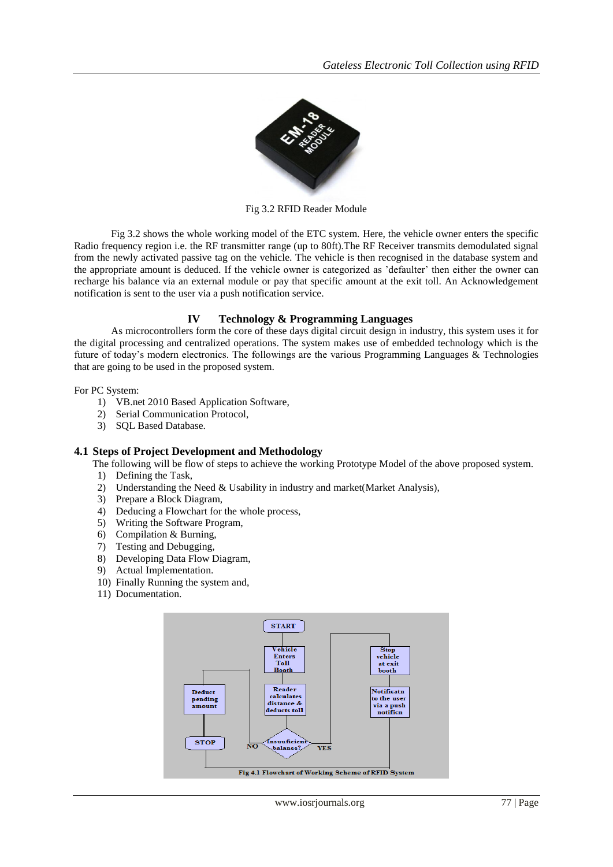

Fig 3.2 RFID Reader Module

Fig 3.2 shows the whole working model of the ETC system. Here, the vehicle owner enters the specific Radio frequency region i.e. the RF transmitter range (up to 80ft).The RF Receiver transmits demodulated signal from the newly activated passive tag on the vehicle. The vehicle is then recognised in the database system and the appropriate amount is deduced. If the vehicle owner is categorized as "defaulter" then either the owner can recharge his balance via an external module or pay that specific amount at the exit toll. An Acknowledgement notification is sent to the user via a push notification service.

#### **IV Technology & Programming Languages**

As microcontrollers form the core of these days digital circuit design in industry, this system uses it for the digital processing and centralized operations. The system makes use of embedded technology which is the future of today"s modern electronics. The followings are the various Programming Languages & Technologies that are going to be used in the proposed system.

For PC System:

- 1) VB.net 2010 Based Application Software,
- 2) Serial Communication Protocol,
- 3) SQL Based Database.

#### **4.1 Steps of Project Development and Methodology**

The following will be flow of steps to achieve the working Prototype Model of the above proposed system.

- 1) Defining the Task,
- 2) Understanding the Need & Usability in industry and market(Market Analysis),
- 3) Prepare a Block Diagram,
- 4) Deducing a Flowchart for the whole process,
- 5) Writing the Software Program,
- 6) Compilation & Burning,
- 7) Testing and Debugging,
- 8) Developing Data Flow Diagram,
- 9) Actual Implementation.
- 10) Finally Running the system and,
- 11) Documentation.

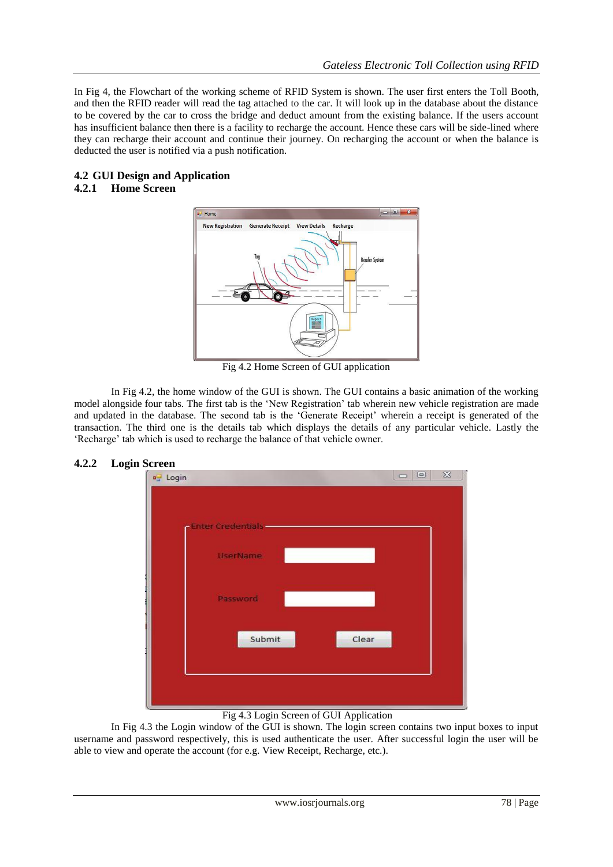In Fig 4, the Flowchart of the working scheme of RFID System is shown. The user first enters the Toll Booth, and then the RFID reader will read the tag attached to the car. It will look up in the database about the distance to be covered by the car to cross the bridge and deduct amount from the existing balance. If the users account has insufficient balance then there is a facility to recharge the account. Hence these cars will be side-lined where they can recharge their account and continue their journey. On recharging the account or when the balance is deducted the user is notified via a push notification.

## **4.2 GUI Design and Application**

## **4.2.1 Home Screen**



Fig 4.2 Home Screen of GUI application

In Fig 4.2, the home window of the GUI is shown. The GUI contains a basic animation of the working model alongside four tabs. The first tab is the "New Registration" tab wherein new vehicle registration are made and updated in the database. The second tab is the 'Generate Receipt' wherein a receipt is generated of the transaction. The third one is the details tab which displays the details of any particular vehicle. Lastly the 'Recharge' tab which is used to recharge the balance of that vehicle owner.



## Fig 4.3 Login Screen of GUI Application

In Fig 4.3 the Login window of the GUI is shown. The login screen contains two input boxes to input username and password respectively, this is used authenticate the user. After successful login the user will be able to view and operate the account (for e.g. View Receipt, Recharge, etc.).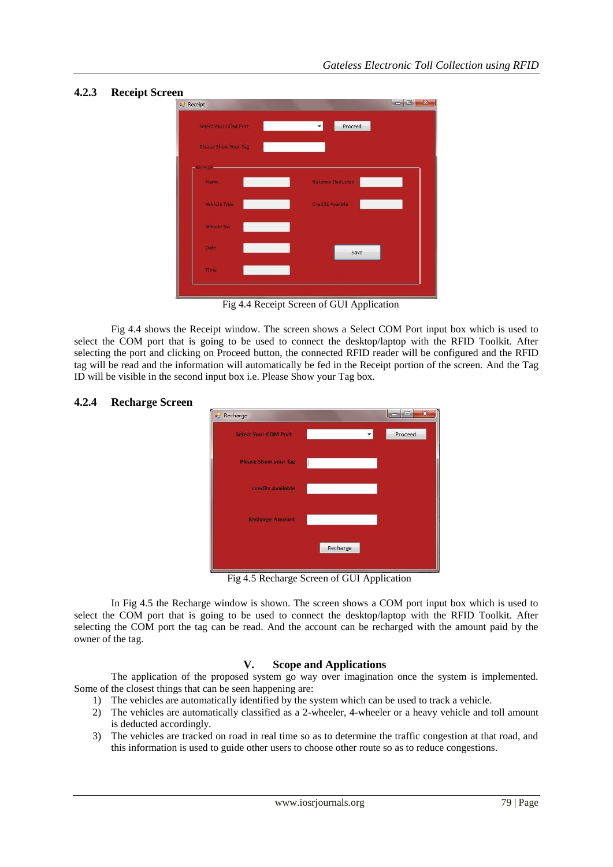## **4.2.3 Receipt Screen**



Fig 4.4 Receipt Screen of GUI Application

Fig 4.4 shows the Receipt window. The screen shows a Select COM Port input box which is used to select the COM port that is going to be used to connect the desktop/laptop with the RFID Toolkit. After selecting the port and clicking on Proceed button, the connected RFID reader will be configured and the RFID tag will be read and the information will automatically be fed in the Receipt portion of the screen. And the Tag ID will be visible in the second input box i.e. Please Show your Tag box.

# **BORDE** au Recharge **Select Your COM Po** Proceed Recharge

Fig 4.5 Recharge Screen of GUI Application

In Fig 4.5 the Recharge window is shown. The screen shows a COM port input box which is used to select the COM port that is going to be used to connect the desktop/laptop with the RFID Toolkit. After selecting the COM port the tag can be read. And the account can be recharged with the amount paid by the owner of the tag.

## **V. Scope and Applications**

The application of the proposed system go way over imagination once the system is implemented. Some of the closest things that can be seen happening are:

- 1) The vehicles are automatically identified by the system which can be used to track a vehicle.
- 2) The vehicles are automatically classified as a 2-wheeler, 4-wheeler or a heavy vehicle and toll amount is deducted accordingly.
- 3) The vehicles are tracked on road in real time so as to determine the traffic congestion at that road, and this information is used to guide other users to choose other route so as to reduce congestions.

## **4.2.4 Recharge Screen**